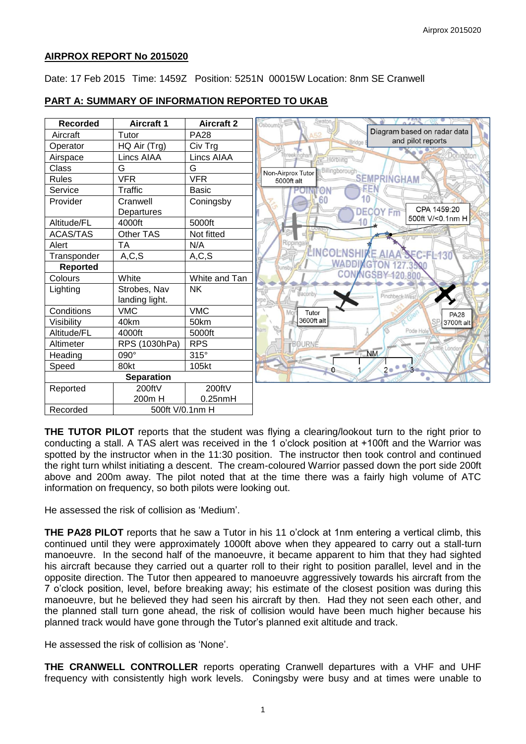# **AIRPROX REPORT No 2015020**

Date: 17 Feb 2015 Time: 1459Z Position: 5251N 00015W Location: 8nm SE Cranwell

| <b>Recorded</b> | <b>Aircraft 1</b>  | <b>Aircraft 2</b> |
|-----------------|--------------------|-------------------|
| Aircraft        | Tutor              | <b>PA28</b>       |
| Operator        | HQ Air (Trg)       | Civ Trg           |
| Airspace        | Lincs AIAA         | Lincs AIAA        |
| Class           | G                  | G                 |
| Rules           | <b>VFR</b>         | <b>VFR</b>        |
| Service         | Traffic            | <b>Basic</b>      |
| Provider        | Cranwell           | Coningsby         |
|                 | Departures         |                   |
| Altitude/FL     | 4000ft             | 5000ft            |
| <b>ACAS/TAS</b> | Other TAS          | Not fitted        |
| Alert           | TA                 | N/A               |
| Transponder     | A, C, S            | A, C, S           |
| <b>Reported</b> |                    |                   |
| Colours         | White              | White and Tan     |
| Lighting        | Strobes, Nav       | <b>NK</b>         |
|                 | landing light.     |                   |
| Conditions      | <b>VMC</b>         | <b>VMC</b>        |
| Visibility      | 40km               | 50km              |
| Altitude/FL     | 4000ft             | 5000ft            |
| Altimeter       | RPS (1030hPa)      | <b>RPS</b>        |
| Heading         | 090°               | $315^\circ$       |
| Speed           | 80kt               | 105kt             |
|                 | <b>Separation</b>  |                   |
| Reported        | 200ftV             | 200ftV            |
|                 | 200 <sub>m</sub> H | $0.25$ nm $H$     |
| Recorded        | 500ft V/0.1nm H    |                   |

# **PART A: SUMMARY OF INFORMATION REPORTED TO UKAB**

**THE TUTOR PILOT** reports that the student was flying a clearing/lookout turn to the right prior to conducting a stall. A TAS alert was received in the 1 o'clock position at +100ft and the Warrior was spotted by the instructor when in the 11:30 position. The instructor then took control and continued the right turn whilst initiating a descent. The cream-coloured Warrior passed down the port side 200ft above and 200m away. The pilot noted that at the time there was a fairly high volume of ATC information on frequency, so both pilots were looking out.

He assessed the risk of collision as 'Medium'.

**THE PA28 PILOT** reports that he saw a Tutor in his 11 o'clock at 1nm entering a vertical climb, this continued until they were approximately 1000ft above when they appeared to carry out a stall-turn manoeuvre. In the second half of the manoeuvre, it became apparent to him that they had sighted his aircraft because they carried out a quarter roll to their right to position parallel, level and in the opposite direction. The Tutor then appeared to manoeuvre aggressively towards his aircraft from the 7 o'clock position, level, before breaking away; his estimate of the closest position was during this manoeuvre, but he believed they had seen his aircraft by then. Had they not seen each other, and the planned stall turn gone ahead, the risk of collision would have been much higher because his planned track would have gone through the Tutor's planned exit altitude and track.

He assessed the risk of collision as 'None'.

**THE CRANWELL CONTROLLER** reports operating Cranwell departures with a VHF and UHF frequency with consistently high work levels. Coningsby were busy and at times were unable to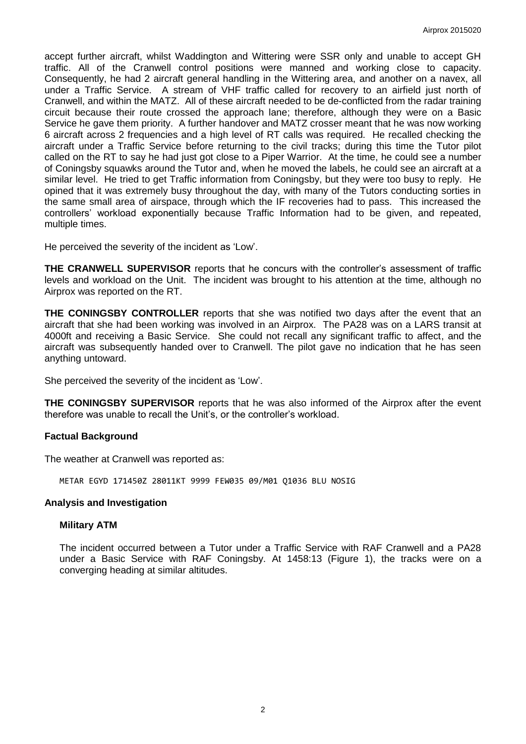accept further aircraft, whilst Waddington and Wittering were SSR only and unable to accept GH traffic. All of the Cranwell control positions were manned and working close to capacity. Consequently, he had 2 aircraft general handling in the Wittering area, and another on a navex, all under a Traffic Service. A stream of VHF traffic called for recovery to an airfield just north of Cranwell, and within the MATZ. All of these aircraft needed to be de-conflicted from the radar training circuit because their route crossed the approach lane; therefore, although they were on a Basic Service he gave them priority. A further handover and MATZ crosser meant that he was now working 6 aircraft across 2 frequencies and a high level of RT calls was required. He recalled checking the aircraft under a Traffic Service before returning to the civil tracks; during this time the Tutor pilot called on the RT to say he had just got close to a Piper Warrior. At the time, he could see a number of Coningsby squawks around the Tutor and, when he moved the labels, he could see an aircraft at a similar level. He tried to get Traffic information from Coningsby, but they were too busy to reply. He opined that it was extremely busy throughout the day, with many of the Tutors conducting sorties in the same small area of airspace, through which the IF recoveries had to pass. This increased the controllers' workload exponentially because Traffic Information had to be given, and repeated, multiple times.

He perceived the severity of the incident as 'Low'.

**THE CRANWELL SUPERVISOR** reports that he concurs with the controller's assessment of traffic levels and workload on the Unit. The incident was brought to his attention at the time, although no Airprox was reported on the RT.

**THE CONINGSBY CONTROLLER** reports that she was notified two days after the event that an aircraft that she had been working was involved in an Airprox. The PA28 was on a LARS transit at 4000ft and receiving a Basic Service. She could not recall any significant traffic to affect, and the aircraft was subsequently handed over to Cranwell. The pilot gave no indication that he has seen anything untoward.

She perceived the severity of the incident as 'Low'.

**THE CONINGSBY SUPERVISOR** reports that he was also informed of the Airprox after the event therefore was unable to recall the Unit's, or the controller's workload.

#### **Factual Background**

The weather at Cranwell was reported as:

METAR EGYD 171450Z 28011KT 9999 FEW035 09/M01 Q1036 BLU NOSIG

### **Analysis and Investigation**

#### **Military ATM**

The incident occurred between a Tutor under a Traffic Service with RAF Cranwell and a PA28 under a Basic Service with RAF Coningsby. At 1458:13 (Figure 1), the tracks were on a converging heading at similar altitudes.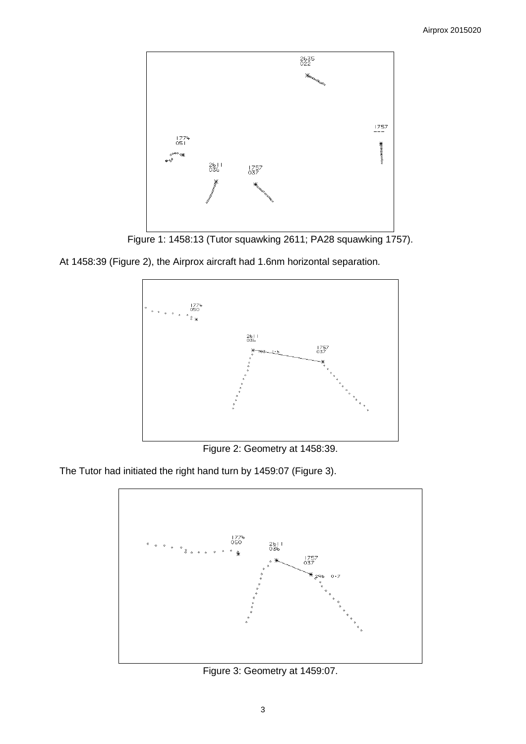

Figure 1: 1458:13 (Tutor squawking 2611; PA28 squawking 1757).

At 1458:39 (Figure 2), the Airprox aircraft had 1.6nm horizontal separation.



Figure 2: Geometry at 1458:39.

The Tutor had initiated the right hand turn by 1459:07 (Figure 3).



Figure 3: Geometry at 1459:07.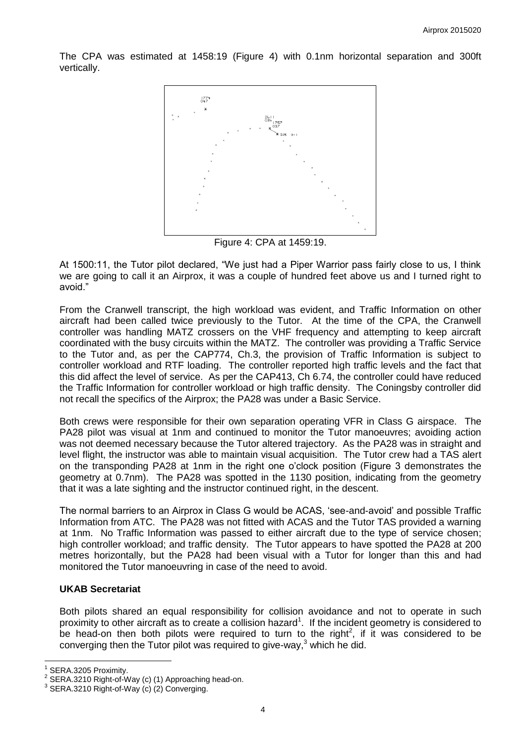The CPA was estimated at 1458:19 (Figure 4) with 0.1nm horizontal separation and 300ft vertically.



Figure 4: CPA at 1459:19.

At 1500:11, the Tutor pilot declared, "We just had a Piper Warrior pass fairly close to us, I think we are going to call it an Airprox, it was a couple of hundred feet above us and I turned right to avoid."

From the Cranwell transcript, the high workload was evident, and Traffic Information on other aircraft had been called twice previously to the Tutor. At the time of the CPA, the Cranwell controller was handling MATZ crossers on the VHF frequency and attempting to keep aircraft coordinated with the busy circuits within the MATZ. The controller was providing a Traffic Service to the Tutor and, as per the CAP774, Ch.3, the provision of Traffic Information is subject to controller workload and RTF loading. The controller reported high traffic levels and the fact that this did affect the level of service. As per the CAP413, Ch 6.74, the controller could have reduced the Traffic Information for controller workload or high traffic density. The Coningsby controller did not recall the specifics of the Airprox; the PA28 was under a Basic Service.

Both crews were responsible for their own separation operating VFR in Class G airspace. The PA28 pilot was visual at 1nm and continued to monitor the Tutor manoeuvres; avoiding action was not deemed necessary because the Tutor altered trajectory. As the PA28 was in straight and level flight, the instructor was able to maintain visual acquisition. The Tutor crew had a TAS alert on the transponding PA28 at 1nm in the right one o'clock position (Figure 3 demonstrates the geometry at 0.7nm). The PA28 was spotted in the 1130 position, indicating from the geometry that it was a late sighting and the instructor continued right, in the descent.

The normal barriers to an Airprox in Class G would be ACAS, 'see-and-avoid' and possible Traffic Information from ATC. The PA28 was not fitted with ACAS and the Tutor TAS provided a warning at 1nm. No Traffic Information was passed to either aircraft due to the type of service chosen; high controller workload; and traffic density. The Tutor appears to have spotted the PA28 at 200 metres horizontally, but the PA28 had been visual with a Tutor for longer than this and had monitored the Tutor manoeuvring in case of the need to avoid.

# **UKAB Secretariat**

Both pilots shared an equal responsibility for collision avoidance and not to operate in such proximity to other aircraft as to create a collision hazard<sup>1</sup>. If the incident geometry is considered to be head-on then both pilots were required to turn to the right<sup>2</sup>, if it was considered to be converging then the Tutor pilot was required to give-way,<sup>3</sup> which he did.

 $\overline{a}$ 

<sup>1</sup> SERA.3205 Proximity.

<sup>2</sup> SERA.3210 Right-of-Way (c) (1) Approaching head-on.

<sup>3</sup> SERA.3210 Right-of-Way (c) (2) Converging.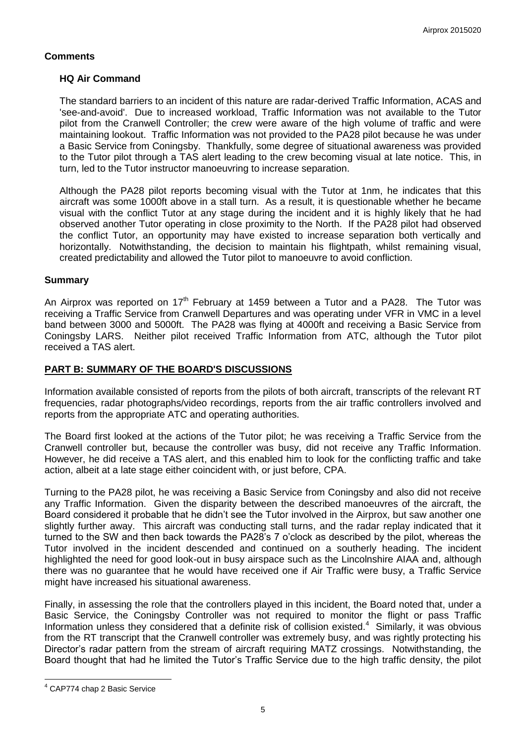# **Comments**

# **HQ Air Command**

The standard barriers to an incident of this nature are radar-derived Traffic Information, ACAS and 'see-and-avoid'. Due to increased workload, Traffic Information was not available to the Tutor pilot from the Cranwell Controller; the crew were aware of the high volume of traffic and were maintaining lookout. Traffic Information was not provided to the PA28 pilot because he was under a Basic Service from Coningsby. Thankfully, some degree of situational awareness was provided to the Tutor pilot through a TAS alert leading to the crew becoming visual at late notice. This, in turn, led to the Tutor instructor manoeuvring to increase separation.

Although the PA28 pilot reports becoming visual with the Tutor at 1nm, he indicates that this aircraft was some 1000ft above in a stall turn. As a result, it is questionable whether he became visual with the conflict Tutor at any stage during the incident and it is highly likely that he had observed another Tutor operating in close proximity to the North. If the PA28 pilot had observed the conflict Tutor, an opportunity may have existed to increase separation both vertically and horizontally. Notwithstanding, the decision to maintain his flightpath, whilst remaining visual, created predictability and allowed the Tutor pilot to manoeuvre to avoid confliction.

### **Summary**

An Airprox was reported on  $17<sup>th</sup>$  February at 1459 between a Tutor and a PA28. The Tutor was receiving a Traffic Service from Cranwell Departures and was operating under VFR in VMC in a level band between 3000 and 5000ft. The PA28 was flying at 4000ft and receiving a Basic Service from Coningsby LARS. Neither pilot received Traffic Information from ATC, although the Tutor pilot received a TAS alert.

# **PART B: SUMMARY OF THE BOARD'S DISCUSSIONS**

Information available consisted of reports from the pilots of both aircraft, transcripts of the relevant RT frequencies, radar photographs/video recordings, reports from the air traffic controllers involved and reports from the appropriate ATC and operating authorities.

The Board first looked at the actions of the Tutor pilot; he was receiving a Traffic Service from the Cranwell controller but, because the controller was busy, did not receive any Traffic Information. However, he did receive a TAS alert, and this enabled him to look for the conflicting traffic and take action, albeit at a late stage either coincident with, or just before, CPA.

Turning to the PA28 pilot, he was receiving a Basic Service from Coningsby and also did not receive any Traffic Information. Given the disparity between the described manoeuvres of the aircraft, the Board considered it probable that he didn't see the Tutor involved in the Airprox, but saw another one slightly further away. This aircraft was conducting stall turns, and the radar replay indicated that it turned to the SW and then back towards the PA28's 7 o'clock as described by the pilot, whereas the Tutor involved in the incident descended and continued on a southerly heading. The incident highlighted the need for good look-out in busy airspace such as the Lincolnshire AIAA and, although there was no guarantee that he would have received one if Air Traffic were busy, a Traffic Service might have increased his situational awareness.

Finally, in assessing the role that the controllers played in this incident, the Board noted that, under a Basic Service, the Coningsby Controller was not required to monitor the flight or pass Traffic Information unless they considered that a definite risk of collision existed. $4$  Similarly, it was obvious from the RT transcript that the Cranwell controller was extremely busy, and was rightly protecting his Director's radar pattern from the stream of aircraft requiring MATZ crossings. Notwithstanding, the Board thought that had he limited the Tutor's Traffic Service due to the high traffic density, the pilot

 $\overline{a}$ 

<sup>4</sup> CAP774 chap 2 Basic Service